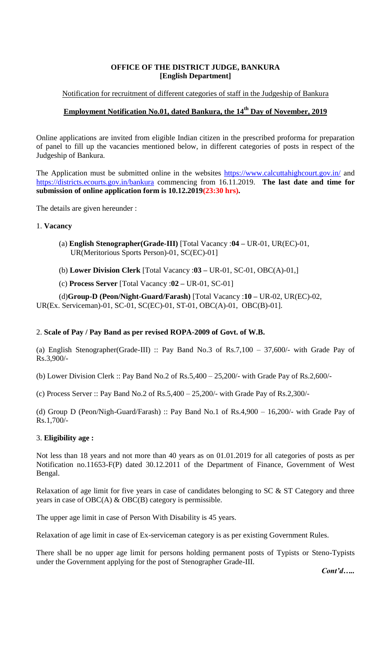# **OFFICE OF THE DISTRICT JUDGE, BANKURA [English Department]**

### Notification for recruitment of different categories of staff in the Judgeship of Bankura

# **Employment Notification No.01, dated Bankura, the 14th Day of November, 2019**

Online applications are invited from eligible Indian citizen in the prescribed proforma for preparation of panel to fill up the vacancies mentioned below, in different categories of posts in respect of the Judgeship of Bankura.

The Application must be submitted online in the websites<https://www.calcuttahighcourt.gov.in/> and <https://districts.ecourts.gov.in/bankura> commencing from 16.11.2019. **The last date and time for submission of online application form is 10.12.2019(23:30 hrs).**

The details are given hereunder :

#### 1. **Vacancy**

- (a) **English Stenographer(Grade-III)** [Total Vacancy :**04 –** UR-01, UR(EC)-01, UR(Meritorious Sports Person)-01, SC(EC)-01]
- (b) **Lower Division Clerk** [Total Vacancy :**03 –** UR-01, SC-01, OBC(A)-01,]
- (c) **Process Server** [Total Vacancy :**02 –** UR-01, SC-01]

(d)**Group-D (Peon/Night-Guard/Farash)** [Total Vacancy :**10 –** UR-02, UR(EC)-02, UR(Ex. Serviceman)-01, SC-01, SC(EC)-01, ST-01, OBC(A)-01, OBC(B)-01].

### 2. **Scale of Pay / Pay Band as per revised ROPA-2009 of Govt. of W.B.**

(a) English Stenographer(Grade-III) :: Pay Band No.3 of Rs.7,100 – 37,600/- with Grade Pay of Rs.3,900/-

(b) Lower Division Clerk :: Pay Band No.2 of Rs.5,400 – 25,200/- with Grade Pay of Rs.2,600/-

(c) Process Server :: Pay Band No.2 of Rs.5,400 – 25,200/- with Grade Pay of Rs.2,300/-

(d) Group D (Peon/Nigh-Guard/Farash) :: Pay Band No.1 of Rs.4,900 – 16,200/- with Grade Pay of Rs.1,700/-

### 3. **Eligibility age :**

Not less than 18 years and not more than 40 years as on 01.01.2019 for all categories of posts as per Notification no.11653-F(P) dated 30.12.2011 of the Department of Finance, Government of West Bengal.

Relaxation of age limit for five years in case of candidates belonging to SC & ST Category and three years in case of OBC(A) & OBC(B) category is permissible.

The upper age limit in case of Person With Disability is 45 years.

Relaxation of age limit in case of Ex-serviceman category is as per existing Government Rules.

There shall be no upper age limit for persons holding permanent posts of Typists or Steno-Typists under the Government applying for the post of Stenographer Grade-III.

*Cont'd…..*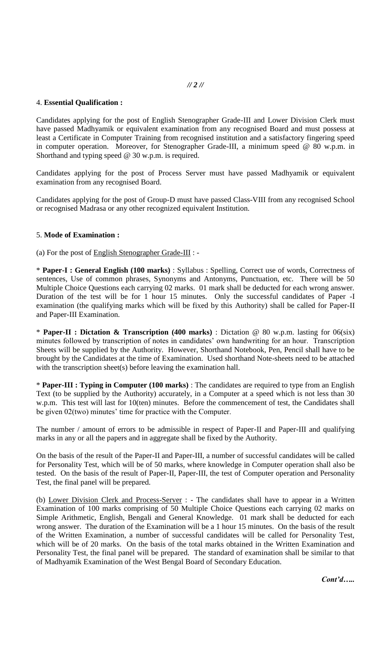#### *// 2 //*

#### 4. **Essential Qualification :**

Candidates applying for the post of English Stenographer Grade-III and Lower Division Clerk must have passed Madhyamik or equivalent examination from any recognised Board and must possess at least a Certificate in Computer Training from recognised institution and a satisfactory fingering speed in computer operation. Moreover, for Stenographer Grade-III, a minimum speed @ 80 w.p.m. in Shorthand and typing speed @ 30 w.p.m. is required.

Candidates applying for the post of Process Server must have passed Madhyamik or equivalent examination from any recognised Board.

Candidates applying for the post of Group-D must have passed Class-VIII from any recognised School or recognised Madrasa or any other recognized equivalent Institution.

#### 5. **Mode of Examination :**

(a) For the post of English Stenographer Grade-III : -

\* **Paper-I : General English (100 marks)** : Syllabus : Spelling, Correct use of words, Correctness of sentences, Use of common phrases, Synonyms and Antonyms, Punctuation, etc. There will be 50 Multiple Choice Questions each carrying 02 marks. 01 mark shall be deducted for each wrong answer. Duration of the test will be for 1 hour 15 minutes. Only the successful candidates of Paper -I examination (the qualifying marks which will be fixed by this Authority) shall be called for Paper-II and Paper-III Examination.

\* **Paper-II : Dictation & Transcription (400 marks)** : Dictation @ 80 w.p.m. lasting for 06(six) minutes followed by transcription of notes in candidates' own handwriting for an hour. Transcription Sheets will be supplied by the Authority. However, Shorthand Notebook, Pen, Pencil shall have to be brought by the Candidates at the time of Examination. Used shorthand Note-sheets need to be attached with the transcription sheet(s) before leaving the examination hall.

\* **Paper-III : Typing in Computer (100 marks)** : The candidates are required to type from an English Text (to be supplied by the Authority) accurately, in a Computer at a speed which is not less than 30 w.p.m. This test will last for 10(ten) minutes. Before the commencement of test, the Candidates shall be given 02(two) minutes' time for practice with the Computer.

The number / amount of errors to be admissible in respect of Paper-II and Paper-III and qualifying marks in any or all the papers and in aggregate shall be fixed by the Authority.

On the basis of the result of the Paper-II and Paper-III, a number of successful candidates will be called for Personality Test, which will be of 50 marks, where knowledge in Computer operation shall also be tested. On the basis of the result of Paper-II, Paper-III, the test of Computer operation and Personality Test, the final panel will be prepared.

(b) Lower Division Clerk and Process-Server : - The candidates shall have to appear in a Written Examination of 100 marks comprising of 50 Multiple Choice Questions each carrying 02 marks on Simple Arithmetic, English, Bengali and General Knowledge. 01 mark shall be deducted for each wrong answer. The duration of the Examination will be a 1 hour 15 minutes. On the basis of the result of the Written Examination, a number of successful candidates will be called for Personality Test, which will be of 20 marks. On the basis of the total marks obtained in the Written Examination and Personality Test, the final panel will be prepared. The standard of examination shall be similar to that of Madhyamik Examination of the West Bengal Board of Secondary Education.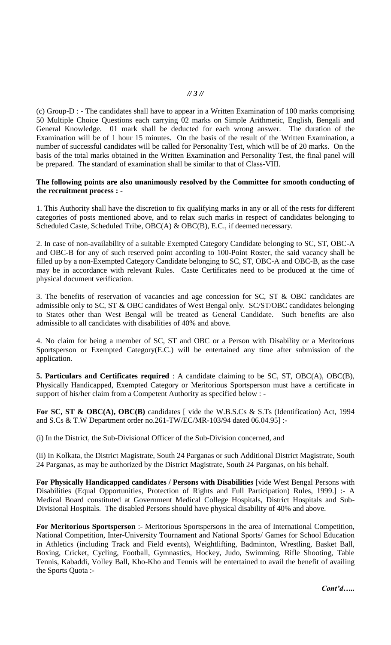### *// 3 //*

(c) Group-D : - The candidates shall have to appear in a Written Examination of 100 marks comprising 50 Multiple Choice Questions each carrying 02 marks on Simple Arithmetic, English, Bengali and General Knowledge. 01 mark shall be deducted for each wrong answer. The duration of the Examination will be of 1 hour 15 minutes. On the basis of the result of the Written Examination, a number of successful candidates will be called for Personality Test, which will be of 20 marks. On the basis of the total marks obtained in the Written Examination and Personality Test, the final panel will be prepared. The standard of examination shall be similar to that of Class-VIII.

#### **The following points are also unanimously resolved by the Committee for smooth conducting of the recruitment process : -**

1. This Authority shall have the discretion to fix qualifying marks in any or all of the rests for different categories of posts mentioned above, and to relax such marks in respect of candidates belonging to Scheduled Caste, Scheduled Tribe, OBC(A) & OBC(B), E.C., if deemed necessary.

2. In case of non-availability of a suitable Exempted Category Candidate belonging to SC, ST, OBC-A and OBC-B for any of such reserved point according to 100-Point Roster, the said vacancy shall be filled up by a non-Exempted Category Candidate belonging to SC, ST, OBC-A and OBC-B, as the case may be in accordance with relevant Rules. Caste Certificates need to be produced at the time of physical document verification.

3. The benefits of reservation of vacancies and age concession for SC, ST & OBC candidates are admissible only to SC, ST & OBC candidates of West Bengal only. SC/ST/OBC candidates belonging to States other than West Bengal will be treated as General Candidate. Such benefits are also admissible to all candidates with disabilities of 40% and above.

4. No claim for being a member of SC, ST and OBC or a Person with Disability or a Meritorious Sportsperson or Exempted Category(E.C.) will be entertained any time after submission of the application.

**5. Particulars and Certificates required** : A candidate claiming to be SC, ST, OBC(A), OBC(B), Physically Handicapped, Exempted Category or Meritorious Sportsperson must have a certificate in support of his/her claim from a Competent Authority as specified below : -

For SC, ST & OBC(A), OBC(B) candidates [ vide the W.B.S.Cs & S.Ts (Identification) Act, 1994 and S.Cs & T.W Department order no.261-TW/EC/MR-103/94 dated 06.04.95] :-

(i) In the District, the Sub-Divisional Officer of the Sub-Division concerned, and

(ii) In Kolkata, the District Magistrate, South 24 Parganas or such Additional District Magistrate, South 24 Parganas, as may be authorized by the District Magistrate, South 24 Parganas, on his behalf.

**For Physically Handicapped candidates / Persons with Disabilities** [vide West Bengal Persons with Disabilities (Equal Opportunities, Protection of Rights and Full Participation) Rules, 1999.] :- A Medical Board constituted at Government Medical College Hospitals, District Hospitals and Sub-Divisional Hospitals. The disabled Persons should have physical disability of 40% and above.

**For Meritorious Sportsperson** :- Meritorious Sportspersons in the area of International Competition, National Competition, Inter-University Tournament and National Sports/ Games for School Education in Athletics (including Track and Field events), Weightlifting, Badminton, Wrestling, Basket Ball, Boxing, Cricket, Cycling, Football, Gymnastics, Hockey, Judo, Swimming, Rifle Shooting, Table Tennis, Kabaddi, Volley Ball, Kho-Kho and Tennis will be entertained to avail the benefit of availing the Sports Quota :-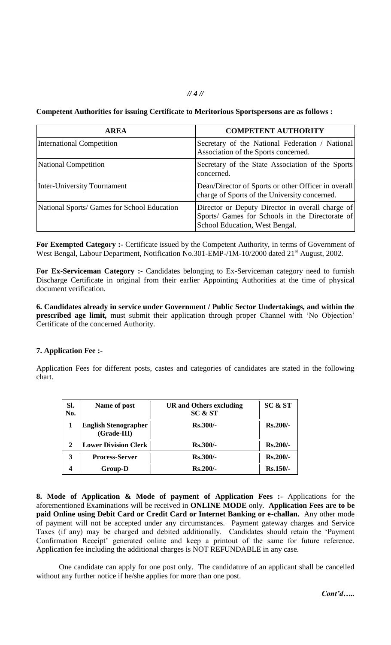### **Competent Authorities for issuing Certificate to Meritorious Sportspersons are as follows :**

| <b>AREA</b>                                 | <b>COMPETENT AUTHORITY</b>                                                                                                                                                                                                                                                                                      |  |
|---------------------------------------------|-----------------------------------------------------------------------------------------------------------------------------------------------------------------------------------------------------------------------------------------------------------------------------------------------------------------|--|
| <b>International Competition</b>            | Secretary of the National Federation / National<br>Association of the Sports concerned.                                                                                                                                                                                                                         |  |
| <b>National Competition</b>                 | Secretary of the State Association of the Sports<br>concerned.<br>Dean/Director of Sports or other Officer in overall<br>charge of Sports of the University concerned.<br>Director or Deputy Director in overall charge of<br>Sports/ Games for Schools in the Directorate of<br>School Education, West Bengal. |  |
| <b>Inter-University Tournament</b>          |                                                                                                                                                                                                                                                                                                                 |  |
| National Sports/ Games for School Education |                                                                                                                                                                                                                                                                                                                 |  |

For Exempted Category :- Certificate issued by the Competent Authority, in terms of Government of West Bengal, Labour Department, Notification No.301-EMP-/1M-10/2000 dated 21<sup>st</sup> August, 2002.

**For Ex-Serviceman Category :-** Candidates belonging to Ex-Serviceman category need to furnish Discharge Certificate in original from their earlier Appointing Authorities at the time of physical document verification.

**6. Candidates already in service under Government / Public Sector Undertakings, and within the prescribed age limit,** must submit their application through proper Channel with "No Objection" Certificate of the concerned Authority.

### **7. Application Fee :-**

Application Fees for different posts, castes and categories of candidates are stated in the following chart.

| Sl.<br>No. | Name of post                               | <b>UR</b> and Others excluding<br>SC & ST | SC & ST    |
|------------|--------------------------------------------|-------------------------------------------|------------|
|            | <b>English Stenographer</b><br>(Grade-III) | $Rs.300/-$                                | $Rs.200/-$ |
| 2          | <b>Lower Division Clerk</b>                | $Rs.300/-$                                | $Rs.200/-$ |
| 3          | <b>Process-Server</b>                      | $Rs.300/-$                                | Rs.200/-   |
| 4          | <b>Group-D</b>                             | $Rs.200/-$                                | $Rs.150/-$ |

**8. Mode of Application & Mode of payment of Application Fees :-** Applications for the aforementioned Examinations will be received in **ONLINE MODE** only. **Application Fees are to be paid Online using Debit Card or Credit Card or Internet Banking or e-challan.** Any other mode of payment will not be accepted under any circumstances. Payment gateway charges and Service Taxes (if any) may be charged and debited additionally. Candidates should retain the "Payment Confirmation Receipt' generated online and keep a printout of the same for future reference. Application fee including the additional charges is NOT REFUNDABLE in any case.

One candidate can apply for one post only. The candidature of an applicant shall be cancelled without any further notice if he/she applies for more than one post.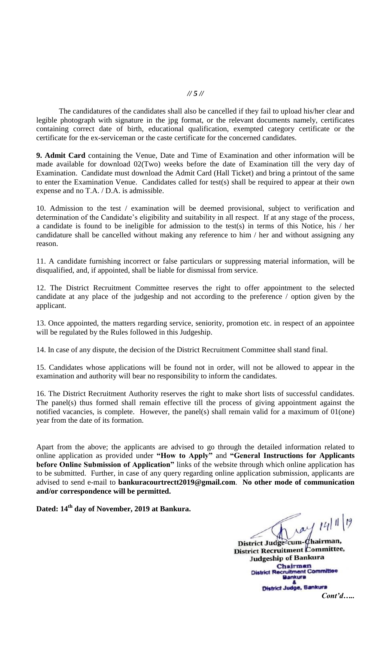#### *// 5 //*

The candidatures of the candidates shall also be cancelled if they fail to upload his/her clear and legible photograph with signature in the jpg format, or the relevant documents namely, certificates containing correct date of birth, educational qualification, exempted category certificate or the certificate for the ex-serviceman or the caste certificate for the concerned candidates.

**9. Admit Card** containing the Venue, Date and Time of Examination and other information will be made available for download 02(Two) weeks before the date of Examination till the very day of Examination. Candidate must download the Admit Card (Hall Ticket) and bring a printout of the same to enter the Examination Venue. Candidates called for test(s) shall be required to appear at their own expense and no T.A. / D.A. is admissible.

10. Admission to the test / examination will be deemed provisional, subject to verification and determination of the Candidate's eligibility and suitability in all respect. If at any stage of the process, a candidate is found to be ineligible for admission to the test(s) in terms of this Notice, his / her candidature shall be cancelled without making any reference to him / her and without assigning any reason.

11. A candidate furnishing incorrect or false particulars or suppressing material information, will be disqualified, and, if appointed, shall be liable for dismissal from service.

12. The District Recruitment Committee reserves the right to offer appointment to the selected candidate at any place of the judgeship and not according to the preference / option given by the applicant.

13. Once appointed, the matters regarding service, seniority, promotion etc. in respect of an appointee will be regulated by the Rules followed in this Judgeship.

14. In case of any dispute, the decision of the District Recruitment Committee shall stand final.

15. Candidates whose applications will be found not in order, will not be allowed to appear in the examination and authority will bear no responsibility to inform the candidates.

16. The District Recruitment Authority reserves the right to make short lists of successful candidates. The panel(s) thus formed shall remain effective till the process of giving appointment against the notified vacancies, is complete. However, the panel(s) shall remain valid for a maximum of 01(one) year from the date of its formation.

Apart from the above; the applicants are advised to go through the detailed information related to online application as provided under **"How to Apply"** and **"General Instructions for Applicants before Online Submission of Application"** links of the website through which online application has to be submitted. Further, in case of any query regarding online application submission, applicants are advised to send e-mail to **bankuracourtrectt2019@gmail.com**. **No other mode of communication and/or correspondence will be permitted.**

**Dated: 14th day of November, 2019 at Bankura.**

ray 14/11/19 District Judge<sup>2</sup>cum-Chairman,<br>District Recruitment Committee, Judgeship of Bankura Chairman **Chairman**<br>District Recruitment Committee<br>Bankura Bistrict Judge, Bankura

*Cont'd…..*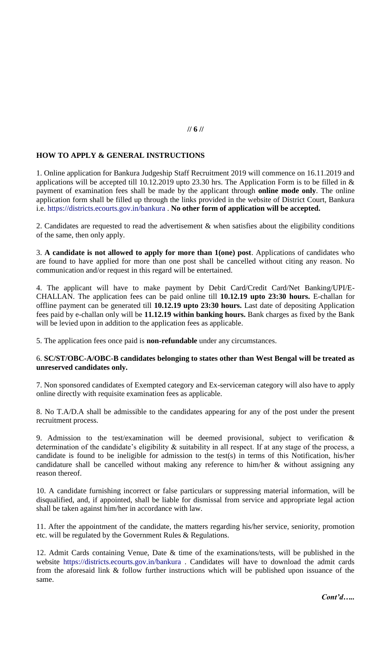## **HOW TO APPLY & GENERAL INSTRUCTIONS**

1. Online application for Bankura Judgeship Staff Recruitment 2019 will commence on 16.11.2019 and applications will be accepted till 10.12.2019 upto 23.30 hrs. The Application Form is to be filled in & payment of examination fees shall be made by the applicant through **online mode only**. The online application form shall be filled up through the links provided in the website of District Court, Bankura i.e. https://districts.ecourts.gov.in/bankura . **No other form of application will be accepted.**

2. Candidates are requested to read the advertisement & when satisfies about the eligibility conditions of the same, then only apply.

3. **A candidate is not allowed to apply for more than 1(one) post**. Applications of candidates who are found to have applied for more than one post shall be cancelled without citing any reason. No communication and/or request in this regard will be entertained.

4. The applicant will have to make payment by Debit Card/Credit Card/Net Banking/UPI/E-CHALLAN. The application fees can be paid online till **10.12.19 upto 23:30 hours.** E-challan for offline payment can be generated till **10.12.19 upto 23:30 hours.** Last date of depositing Application fees paid by e-challan only will be **11.12.19 within banking hours.** Bank charges as fixed by the Bank will be levied upon in addition to the application fees as applicable.

5. The application fees once paid is **non-refundable** under any circumstances.

### 6. **SC/ST/OBC-A/OBC-B candidates belonging to states other than West Bengal will be treated as unreserved candidates only.**

7. Non sponsored candidates of Exempted category and Ex-serviceman category will also have to apply online directly with requisite examination fees as applicable.

8. No T.A/D.A shall be admissible to the candidates appearing for any of the post under the present recruitment process.

9. Admission to the test/examination will be deemed provisional, subject to verification & determination of the candidate's eligibility  $\&$  suitability in all respect. If at any stage of the process, a candidate is found to be ineligible for admission to the test(s) in terms of this Notification, his/her candidature shall be cancelled without making any reference to him/her & without assigning any reason thereof.

10. A candidate furnishing incorrect or false particulars or suppressing material information, will be disqualified, and, if appointed, shall be liable for dismissal from service and appropriate legal action shall be taken against him/her in accordance with law.

11. After the appointment of the candidate, the matters regarding his/her service, seniority, promotion etc. will be regulated by the Government Rules & Regulations.

12. Admit Cards containing Venue, Date & time of the examinations/tests, will be published in the website https://districts.ecourts.gov.in/bankura . Candidates will have to download the admit cards from the aforesaid link & follow further instructions which will be published upon issuance of the same.

# **// 6 //**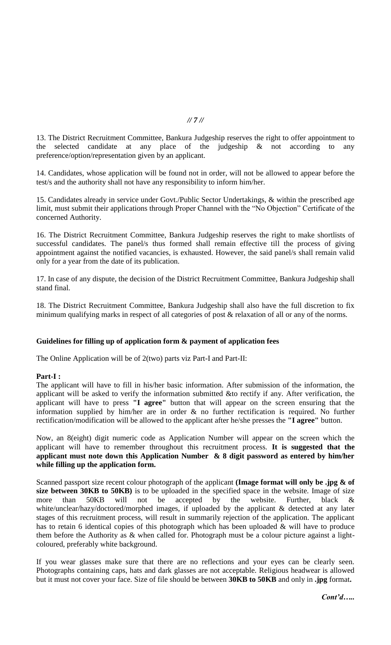13. The District Recruitment Committee, Bankura Judgeship reserves the right to offer appointment to the selected candidate at any place of the judgeship & not according to any preference/option/representation given by an applicant.

14. Candidates, whose application will be found not in order, will not be allowed to appear before the test/s and the authority shall not have any responsibility to inform him/her.

15. Candidates already in service under Govt./Public Sector Undertakings, & within the prescribed age limit, must submit their applications through Proper Channel with the "No Objection" Certificate of the concerned Authority.

16. The District Recruitment Committee, Bankura Judgeship reserves the right to make shortlists of successful candidates. The panel/s thus formed shall remain effective till the process of giving appointment against the notified vacancies, is exhausted. However, the said panel/s shall remain valid only for a year from the date of its publication.

17. In case of any dispute, the decision of the District Recruitment Committee, Bankura Judgeship shall stand final.

18. The District Recruitment Committee, Bankura Judgeship shall also have the full discretion to fix minimum qualifying marks in respect of all categories of post & relaxation of all or any of the norms.

### **Guidelines for filling up of application form & payment of application fees**

The Online Application will be of 2(two) parts viz Part-I and Part-II:

#### **Part-I :**

The applicant will have to fill in his/her basic information. After submission of the information, the applicant will be asked to verify the information submitted &to rectify if any. After verification, the applicant will have to press **"I agree"** button that will appear on the screen ensuring that the information supplied by him/her are in order & no further rectification is required. No further rectification/modification will be allowed to the applicant after he/she presses the **"I agree"** button.

Now, an 8(eight) digit numeric code as Application Number will appear on the screen which the applicant will have to remember throughout this recruitment process. **It is suggested that the applicant must note down this Application Number & 8 digit password as entered by him/her while filling up the application form.**

Scanned passport size recent colour photograph of the applicant **(Image format will only be .jpg & of size between 30KB to 50KB)** is to be uploaded in the specified space in the website. Image of size more than 50KB will not be accepted by the website. Further, black & white/unclear/hazy/doctored/morphed images, if uploaded by the applicant & detected at any later stages of this recruitment process, will result in summarily rejection of the application. The applicant has to retain 6 identical copies of this photograph which has been uploaded & will have to produce them before the Authority as & when called for. Photograph must be a colour picture against a lightcoloured, preferably white background.

If you wear glasses make sure that there are no reflections and your eyes can be clearly seen. Photographs containing caps, hats and dark glasses are not acceptable. Religious headwear is allowed but it must not cover your face. Size of file should be between **30KB to 50KB** and only in **.jpg** format**.**

#### *// 7 //*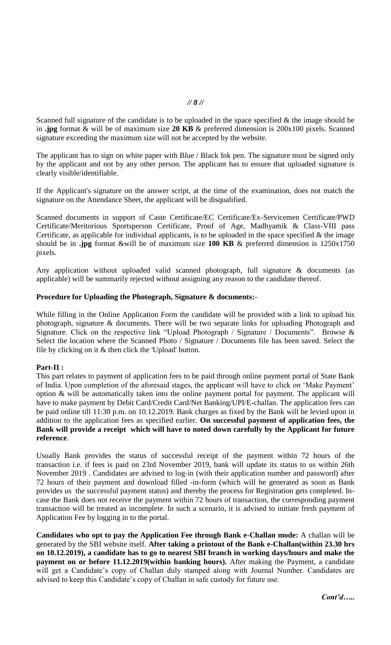Scanned full signature of the candidate is to be uploaded in the space specified  $\&$  the image should be in **.jpg** format & will be of maximum size **20 KB** & preferred dimension is 200x100 pixels. Scanned signature exceeding the maximum size will not be accepted by the website.

The applicant has to sign on white paper with Blue / Black Ink pen. The signature must be signed only by the applicant and not by any other person. The applicant has to ensure that uploaded signature is clearly visible/identifiable.

If the Applicant's signature on the answer script, at the time of the examination, does not match the signature on the Attendance Sheet, the applicant will be disqualified.

Scanned documents in support of Caste Certificate/EC Certificate/Ex-Servicemen Certificate/PWD Certificate/Meritorious Sportsperson Certificate, Proof of Age, Madhyamik & Class-VIII pass Certificate, as applicable for individual applicants, is to be uploaded in the space specified  $\&$  the image should be in **.jpg** format &will be of maximum size **100 KB** & preferred dimension is 1250x1750 pixels.

Any application without uploaded valid scanned photograph, full signature & documents (as applicable) will be summarily rejected without assigning any reason to the candidate thereof.

#### **Procedure for Uploading the Photograph, Signature & documents:-**

While filling in the Online Application Form the candidate will be provided with a link to upload his photograph, signature & documents. There will be two separate links for uploading Photograph and Signature. Click on the respective link "Upload Photograph / Signature / Documents". Browse & Select the location where the Scanned Photo / Signature / Documents file has been saved. Select the file by clicking on it & then click the 'Upload' button.

### **Part-II :**

This part relates to payment of application fees to be paid through online payment portal of State Bank of India. Upon completion of the aforesaid stages, the applicant will have to click on "Make Payment" option & will be automatically taken into the online payment portal for payment. The applicant will have to make payment by Debit Card/Credit Card/Net Banking/UPI/E-challan. The application fees can be paid online till 11:30 p.m. on 10.12.2019. Bank charges as fixed by the Bank will be levied upon in addition to the application fees as specified earlier. **On successful payment of application fees, the Bank will provide a receipt which will have to noted down carefully by the Applicant for future reference**.

Usually Bank provides the status of successful receipt of the payment within 72 hours of the transaction i.e. if fees is paid on 23rd November 2019, bank will update its status to us within 26th November 2019 . Candidates are advised to log-in (with their application number and password) after 72 hours of their payment and download filled -in-form (which will be generated as soon as Bank provides us the successful payment status) and thereby the process for Registration gets completed. Incase the Bank does not receive the payment within 72 hours of transaction, the corresponding payment transaction will be treated as incomplete. In such a scenario, it is advised to initiate fresh payment of Application Fee by logging in to the portal.

**Candidates who opt to pay the Application Fee through Bank e-Challan mode:** A challan will be generated by the SBI website itself. **After taking a printout of the Bank e-Challan(within 23.30 hrs on 10.12.2019), a candidate has to go to nearest SBI branch in working days/hours and make the payment on or before 11.12.2019(within banking hours).** After making the Payment, a candidate will get a Candidate's copy of Challan duly stamped along with Journal Number. Candidates are advised to keep this Candidate's copy of Challan in safe custody for future use.